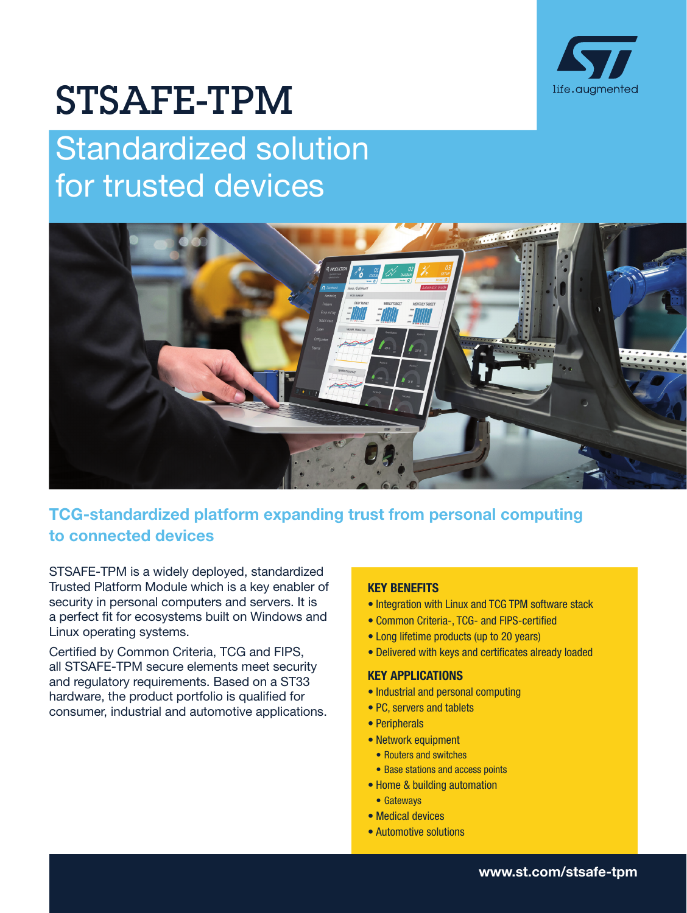

# STSAFE-TPM

# Standardized solution for trusted devices



# TCG-standardized platform expanding trust from personal computing to connected devices

STSAFE-TPM is a widely deployed, standardized Trusted Platform Module which is a key enabler of security in personal computers and servers. It is a perfect fit for ecosystems built on Windows and Linux operating systems.

Certified by Common Criteria, TCG and FIPS, all STSAFE-TPM secure elements meet security and regulatory requirements. Based on a ST33 hardware, the product portfolio is qualified for consumer, industrial and automotive applications.

## KEY BENEFITS

- Integration with Linux and TCG TPM software stack
- Common Criteria-, TCG- and FIPS-certified
- Long lifetime products (up to 20 years)
- Delivered with keys and certificates already loaded

### KEY APPLICATIONS

- Industrial and personal computing
- PC, servers and tablets
- Peripherals
- Network equipment
	- Routers and switches
- Base stations and access points
- Home & building automation
- Gateways
- Medical devices
- Automotive solutions